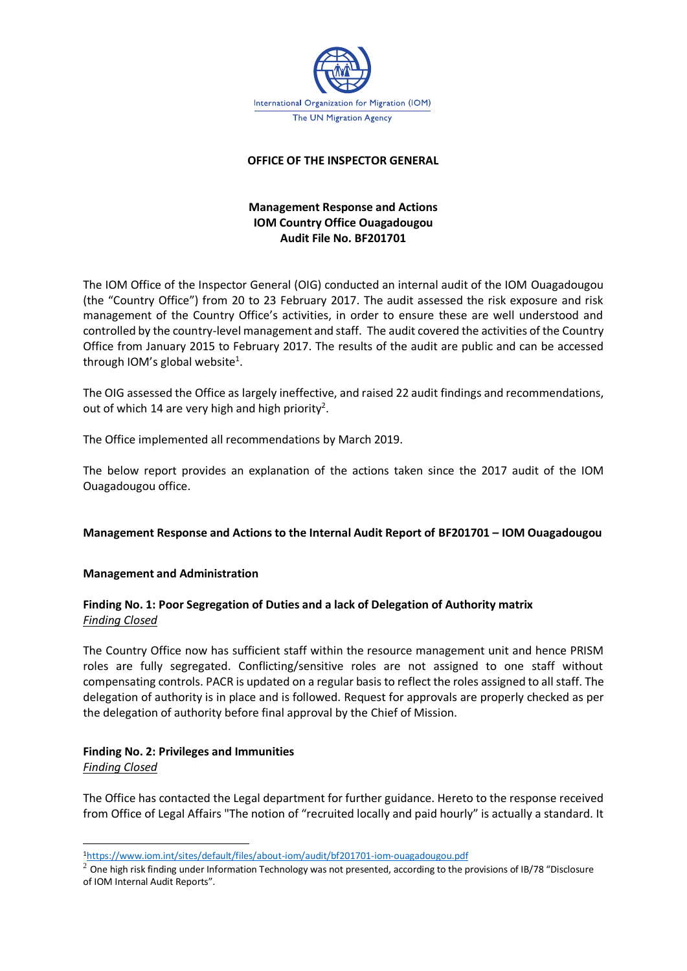

#### **OFFICE OF THE INSPECTOR GENERAL**

# **Management Response and Actions IOM Country Office Ouagadougou Audit File No. BF201701**

The IOM Office of the Inspector General (OIG) conducted an internal audit of the IOM Ouagadougou (the "Country Office") from 20 to 23 February 2017. The audit assessed the risk exposure and risk management of the Country Office's activities, in order to ensure these are well understood and controlled by the country-level management and staff. The audit covered the activities of the Country Office from January 2015 to February 2017. The results of the audit are public and can be accessed through IOM's global website<sup>1</sup>.

The OIG assessed the Office as largely ineffective, and raised 22 audit findings and recommendations, out of which 14 are very high and high priority<sup>2</sup>.

The Office implemented all recommendations by March 2019.

The below report provides an explanation of the actions taken since the 2017 audit of the IOM Ouagadougou office.

#### **Management Response and Actions to the Internal Audit Report of BF201701 – IOM Ouagadougou**

#### **Management and Administration**

# **Finding No. 1: Poor Segregation of Duties and a lack of Delegation of Authority matrix** *Finding Closed*

The Country Office now has sufficient staff within the resource management unit and hence PRISM roles are fully segregated. Conflicting/sensitive roles are not assigned to one staff without compensating controls. PACR is updated on a regular basis to reflect the roles assigned to all staff. The delegation of authority is in place and is followed. Request for approvals are properly checked as per the delegation of authority before final approval by the Chief of Mission.

# **Finding No. 2: Privileges and Immunities**

*Finding Closed*

The Office has contacted the Legal department for further guidance. Hereto to the response received from Office of Legal Affairs "The notion of "recruited locally and paid hourly" is actually a standard. It

<sup>1</sup><https://www.iom.int/sites/default/files/about-iom/audit/bf201701-iom-ouagadougou.pdf>

 $2$  One high risk finding under Information Technology was not presented, according to the provisions of IB/78 "Disclosure of IOM Internal Audit Reports".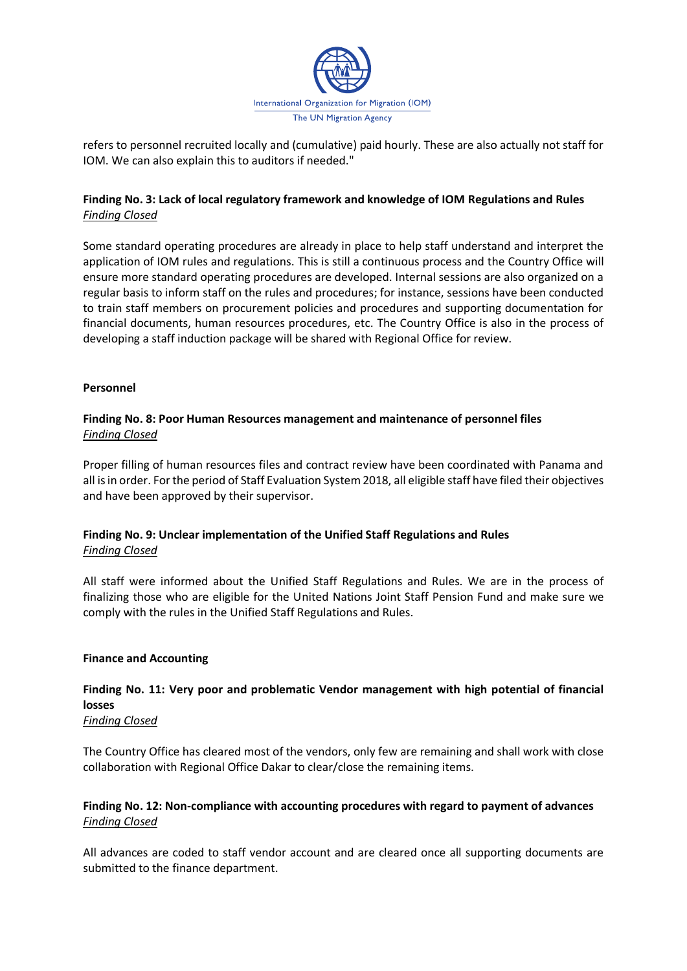

refers to personnel recruited locally and (cumulative) paid hourly. These are also actually not staff for IOM. We can also explain this to auditors if needed."

# **Finding No. 3: Lack of local regulatory framework and knowledge of IOM Regulations and Rules** *Finding Closed*

Some standard operating procedures are already in place to help staff understand and interpret the application of IOM rules and regulations. This is still a continuous process and the Country Office will ensure more standard operating procedures are developed. Internal sessions are also organized on a regular basis to inform staff on the rules and procedures; for instance, sessions have been conducted to train staff members on procurement policies and procedures and supporting documentation for financial documents, human resources procedures, etc. The Country Office is also in the process of developing a staff induction package will be shared with Regional Office for review.

# **Personnel**

# **Finding No. 8: Poor Human Resources management and maintenance of personnel files** *Finding Closed*

Proper filling of human resources files and contract review have been coordinated with Panama and all is in order. For the period of Staff Evaluation System 2018, all eligible staff have filed their objectives and have been approved by their supervisor.

# **Finding No. 9: Unclear implementation of the Unified Staff Regulations and Rules** *Finding Closed*

All staff were informed about the Unified Staff Regulations and Rules. We are in the process of finalizing those who are eligible for the United Nations Joint Staff Pension Fund and make sure we comply with the rules in the Unified Staff Regulations and Rules.

#### **Finance and Accounting**

# **Finding No. 11: Very poor and problematic Vendor management with high potential of financial losses**

# *Finding Closed*

The Country Office has cleared most of the vendors, only few are remaining and shall work with close collaboration with Regional Office Dakar to clear/close the remaining items.

# **Finding No. 12: Non-compliance with accounting procedures with regard to payment of advances**  *Finding Closed*

All advances are coded to staff vendor account and are cleared once all supporting documents are submitted to the finance department.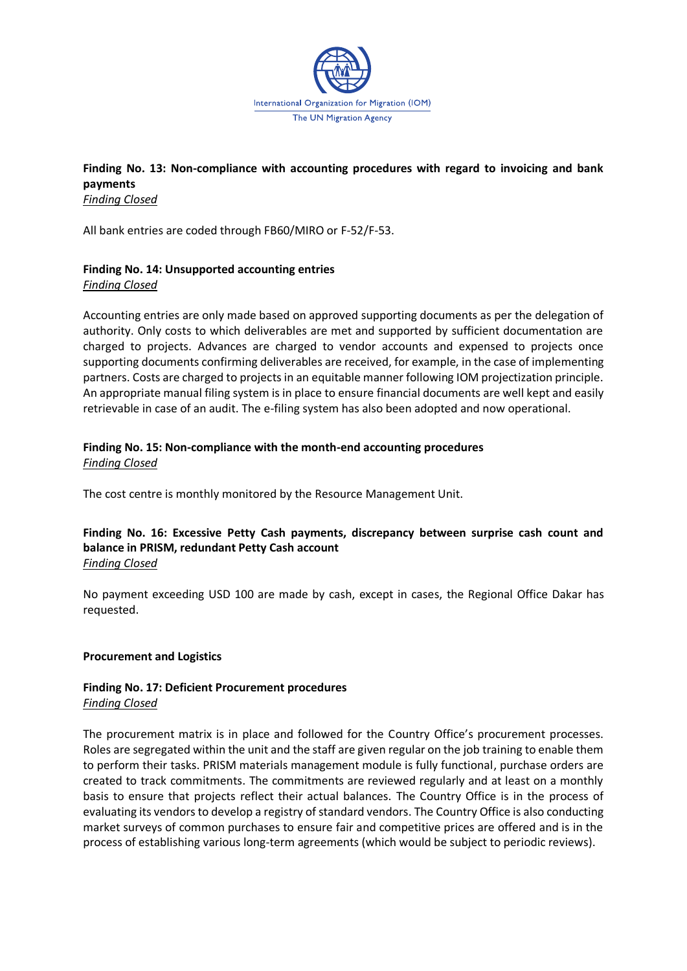

# **Finding No. 13: Non-compliance with accounting procedures with regard to invoicing and bank payments** *Finding Closed*

All bank entries are coded through FB60/MIRO or F-52/F-53.

# **Finding No. 14: Unsupported accounting entries**

*Finding Closed*

Accounting entries are only made based on approved supporting documents as per the delegation of authority. Only costs to which deliverables are met and supported by sufficient documentation are charged to projects. Advances are charged to vendor accounts and expensed to projects once supporting documents confirming deliverables are received, for example, in the case of implementing partners. Costs are charged to projects in an equitable manner following IOM projectization principle. An appropriate manual filing system is in place to ensure financial documents are well kept and easily retrievable in case of an audit. The e-filing system has also been adopted and now operational.

# **Finding No. 15: Non-compliance with the month-end accounting procedures** *Finding Closed*

The cost centre is monthly monitored by the Resource Management Unit.

# **Finding No. 16: Excessive Petty Cash payments, discrepancy between surprise cash count and balance in PRISM, redundant Petty Cash account** *Finding Closed*

No payment exceeding USD 100 are made by cash, except in cases, the Regional Office Dakar has requested.

# **Procurement and Logistics**

#### **Finding No. 17: Deficient Procurement procedures** *Finding Closed*

The procurement matrix is in place and followed for the Country Office's procurement processes. Roles are segregated within the unit and the staff are given regular on the job training to enable them to perform their tasks. PRISM materials management module is fully functional, purchase orders are created to track commitments. The commitments are reviewed regularly and at least on a monthly basis to ensure that projects reflect their actual balances. The Country Office is in the process of evaluating its vendors to develop a registry of standard vendors. The Country Office is also conducting market surveys of common purchases to ensure fair and competitive prices are offered and is in the process of establishing various long-term agreements (which would be subject to periodic reviews).